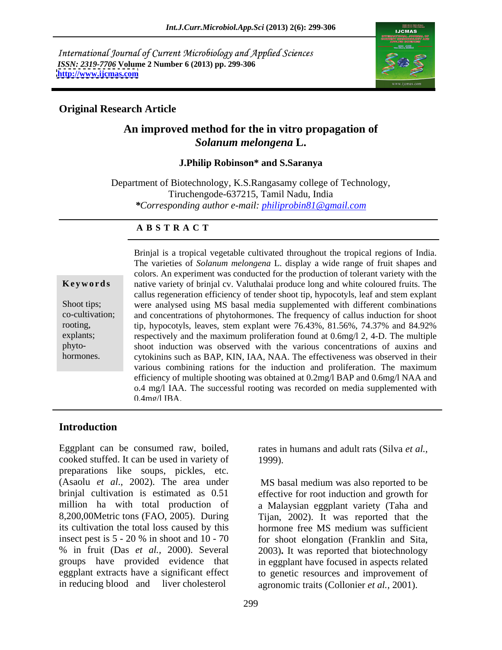International Journal of Current Microbiology and Applied Sciences *ISSN: 2319-7706* **Volume 2 Number 6 (2013) pp. 299-306 <http://www.ijcmas.com>**



### **Original Research Article**

# **An improved method for the in vitro propagation of**  *Solanum melongena* **L.**

### **J.Philip Robinson\* and S.Saranya**

Department of Biotechnology, K.S.Rangasamy college of Technology, Tiruchengode-637215, Tamil Nadu, India *\*Corresponding author e-mail: philiprobin81@gmail.com*

### **A B S T R A C T**

**Keywords** native variety of brinjal cv. Valuthalai produce long and white coloured fruits. The Shoot tips; were analysed using MS basal media supplemented with different combinations co-cultivation; and concentrations of phytohormones. The frequency of callus induction for shoot rooting, tip, hypocotyls, leaves, stem explant were 76.43%, 81.56%, 74.37% and 84.92% explants; respectively and the maximum proliferation found at 0.6mg/l 2, 4-D. The multiple phyto- shoot induction was observed with the various concentrations of auxins and **Example 10** Brinjal is a tropical vegetable cultivated throughout the tropical regions of India.<br>The varieties of *Solanum melongena* L. display a wide range of fruit shapes and<br>colors. An experiment was conducted for the colors. An experiment was conducted for the production of tolerant variety with the callus regeneration efficiency of tender shoot tip, hypocotyls, leaf and stem explant cytokinins such as BAP, KIN, IAA, NAA. The effectiveness was observed in their various combining rations for the induction and proliferation. The maximum efficiency of multiple shooting was obtained at 0.2mg/l BAP and 0.6mg/l NAA and o.4 mg/l IAA. The successful rooting was recorded on media supplemented with 0.4mg/l IBA.

## **Introduction**

Eggplant can be consumed raw, boiled, cooked stuffed. It can be used in variety of preparations like soups, pickles, etc. (Asaolu *et al*., 2002). The area under MS basal medium was also reported to be brinjal cultivation is estimated as 0.51 effective for root induction and growth for million ha with total production of a Malaysian eggplant variety (Taha and 8,200,00Metric tons (FAO, 2005). During Tijan, 2002). It was reported that the its cultivation the total loss caused by this hormone free MS medium was sufficient insect pest is 5 - 20 % in shoot and 10 - 70 for shoot elongation (Franklin and Sita, % in fruit (Das *et al.,* 2000). Several 2003)**.** It was reported that biotechnology groups have provided evidence that in eggplant have focused in aspects related eggplant extracts have a significant effect to genetic resources and improvement of

rates in humans and adult rats (Silva *et al.,* 1999).

in reducing blood and liver cholesterol agronomic traits (Collonier *et al.,* 2001).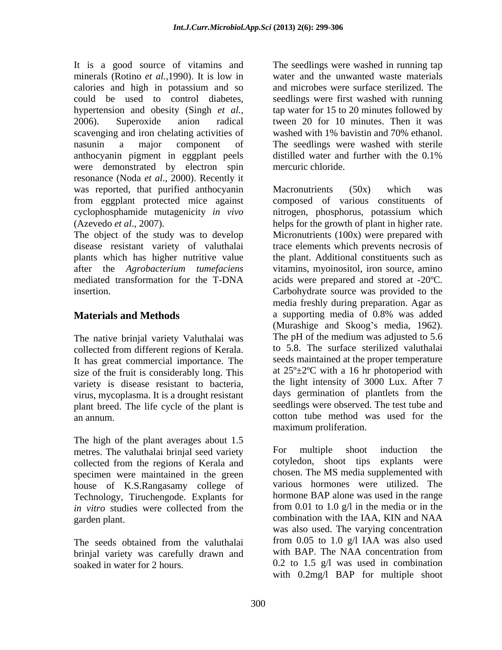It is a good source of vitamins and The seedlings were washed in running tap minerals (Rotino *et al.,*1990). It is low in calories and high in potassium and so could be used to control diabetes, seedlings were first washed with running hypertension and obesity (Singh *et al.,* tap water for 15 to 20 minutes followed by 2006). Superoxide anion radical tween 20 for 10 minutes. Then it was scavenging and iron chelating activities of nasunin a major component of The seedlings were washed with sterile anthocyanin pigment in eggplant peels were demonstrated by electron spin resonance (Noda *et al*., 2000). Recently it was reported, that purified anthocyanin Macronutrients (50x) which was

disease resistant variety of valuthalai plants which has higher nutritive value

The native brinjal variety Valuthalai was collected from different regions of Kerala. It has great commercial importance. The size of the fruit is considerably long. This variety is disease resistant to bacteria, the light intensity of 3000 Lux. After 7<br>virus mycoplasma It is a drought resistant days germination of plantlets from the virus, mycoplasma. It is a drought resistant plant breed. The life cycle of the plant is

The high of the plant averages about 1.5<br>metres. The valuthalai brinial seed variety. For multiple shoot induction the metres. The valuthalai brinjal seed variety For multiple shoot collected from the regions of Kerala and specimen were maintained in the green house of K.S.Rangasamy college of Technology, Tiruchengode. Explants for garden plant. Combination with the IAA, KIN and NAA

brinjal variety was carefully drawn and with BAP. The NAA concentration from

water and the unwanted waste materials and microbes were surface sterilized. The washed with 1% bavistin and 70% ethanol. distilled water and further with the 0.1% mercuric chloride.

from eggplant protected mice against composed of various constituents of cyclophosphamide mutagenicity *in vivo* nitrogen, phosphorus, potassium which (Azevedo *et al*., 2007). helps for the growth of plant in higher rate. The object of the study was to develop Micronutrients (100x) were prepared with after the *Agrobacterium tumefaciens* vitamins, myoinositol, iron source, amino mediated transformation for the T-DNA acids were prepared and stored at -20ºC. insertion. Carbohydrate source was provided to the **Materials and Methods a** supporting media of 0.8% was added an annum. cotton tube method was used for the Macronutrients (50x) which was trace elements which prevents necrosis of the plant. Additional constituents such as media freshly during preparation. Agar as a supporting media of 0.8% was added (Murashige and Skoog's media, 1962). The pH of the medium was adjusted to 5.6 to 5.8. The surface sterilized valuthalai seeds maintained at the proper temperature at 25º±2ºC with a 16 hr photoperiod with the light intensity of 3000 Lux. After 7 days germination of plantlets from the seedlings were observed. The test tube and maximum proliferation.

*in vitro* studies were collected from the from 0.01 to 1.0 g/l in the media or in the The seeds obtained from the valuthalai from 0.05 to 1.0 g/l IAA was also used soaked in water for 2 hours. 0.2 to 1.5 g/l was used in combination For multiple shoot induction the cotyledon, shoot tips explants were chosen. The MS media supplemented with various hormones were utilized. The hormone BAP alone was used in the range from 0.01 to 1.0 g/l in the media or in the combination with the IAA, KIN and NAA was also used. The varying concentration from 0.05 to 1.0 g/l IAA was also used with BAP. The NAA concentration from with 0.2mg/l BAP for multiple shoot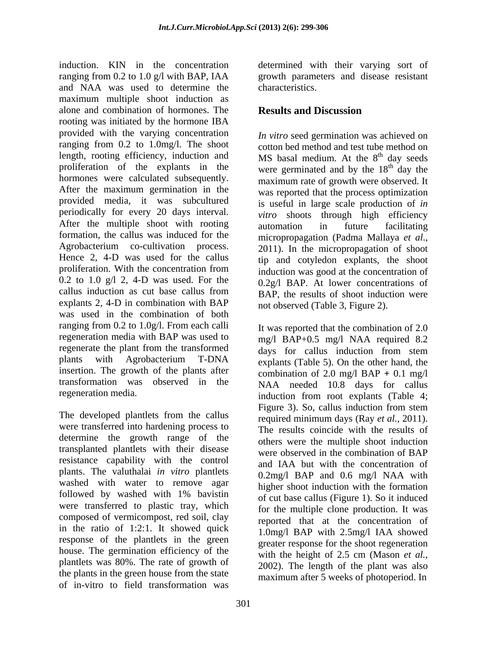induction. KIN in the concentration determined with their varying sort of ranging from 0.2 to 1.0 g/l with BAP, IAA and NAA was used to determine the maximum multiple shoot induction as alone and combination of hormones. The rooting was initiated by the hormone IBA provided with the varying concentration ranging from 0.2 to 1.0mg/l. The shoot length, rooting efficiency, induction and MS basal medium. At the 8<sup>th</sup> day seeds proliferation of the explants in the were germinated and by the  $18<sup>th</sup>$  day the hormones were calculated subsequently. After the maximum germination in the provided media, it was subcultured is useful in large scale production of *in* periodically for every 20 days interval. After the multiple shoot with rooting automation in future facilitating formation, the callus was induced for the micropropagation (Padma Mallaya et al., Agrobacterium co-cultivation process. 2011). In the micropropagation of shoot Hence 2, 4-D was used for the callus  $\qquad$  tip and cotyledon explants, the shoot proliferation. With the concentration from  $\frac{1}{\text{induction}}$  was good at the concentration of 0.2 to 1.0 g/l 2, 4-D was used. For the callus induction as cut base callus from  $BA\overline{P}$ , the results of shoot induction were explants 2, 4-D in combination with BAP was used in the combination of both ranging from 0.2 to 1.0g/l. From each calli regeneration media with BAP was used to regenerate the plant from the transformed days for callus induction from stem plants with Agrobacterium T-DNA explants (Table 5). On the other hand the insertion. The growth of the plants after transformation was observed in the NAA needed 10.8 days for callus

were transferred into hardening process to determine the growth range of the transplanted plantlets with their disease resistance capability with the control plants. The valuthalai *in vitro* plantlets washed with water to remove agar followed by washed with 1% bavistin were transferred to plastic tray, which composed of vermicompost, red soil, clay in the ratio of 1:2:1. It showed quick response of the plantlets in the green house. The germination efficiency of the plantlets was 80%. The rate of growth of the plants in the green house from the state of in-vitro to field transformation was

growth parameters and disease resistant characteristics.

## **Results and Discussion**

*In vitro* seed germination was achieved on cotton bed method and test tube method on <sup>th</sup> day seeds <sup>th</sup> day the maximum rate of growth were observed. It was reported that the process optimization *vitro* shoots through high efficiency automation in future facilitating micropropagation (Padma Mallaya *et al*., 2011). In the micropropagation of shoot induction was good at the concentration of 0.2g/l BAP. At lower concentrations of BAP, the results of shoot induction were not observed (Table 3, Figure 2).

regeneration media. induction from root explants (Table 4; The developed plantlets from the callus<br>The developed plantlets from the callus<br>required minimum days (Pay et al. 2011) It was reported that the combination of 2.0 mg/l BAP+0.5 mg/l NAA required 8.2 days for callus induction from stem explants (Table 5). On the other hand, the combination of 2.0 mg/l BAP  $+$  0.1 mg/l Figure 3). So, callus induction from stem required minimum days (Ray *et al.,* 2011). The results coincide with the results of others were the multiple shoot induction were observed in the combination of BAP and IAA but with the concentration of 0.2mg/l BAP and 0.6 mg/l NAA with higher shoot induction with the formation of cut base callus (Figure 1). So it induced for the multiple clone production. It was reported that at the concentration of 1.0mg/l BAP with 2.5mg/l IAA showed greater response for the shoot regeneration with the height of 2.5 cm (Mason *et al.,* 2002). The length of the plant was also maximum after 5 weeks of photoperiod. In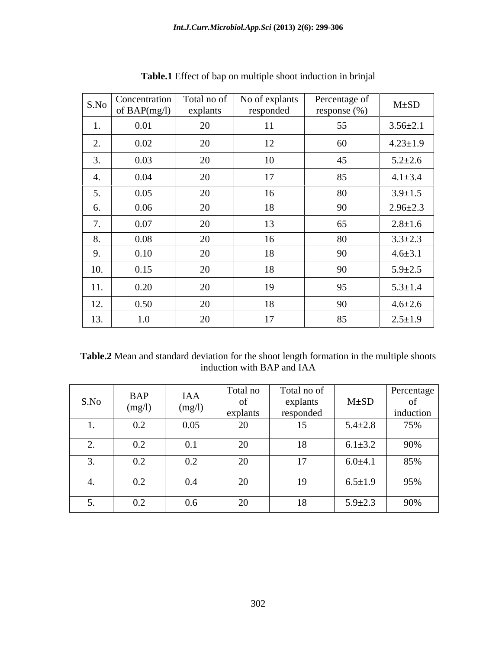|                            | $\sqrt{\frac{\text{S}}{\text{S}}\text{No}}$ Concentration<br>of BAP $(mg/l)$ | Total no of<br>explants | No of explants<br>responded | Percentage of<br>response (%) | $M \pm SD$     |
|----------------------------|------------------------------------------------------------------------------|-------------------------|-----------------------------|-------------------------------|----------------|
|                            | 0.01                                                                         | 20                      | 11                          | 55                            | $3.56 \pm 2.1$ |
| <u>L.</u>                  | 0.02                                                                         | 20                      | 12                          | 60                            | $4.23 \pm 1.9$ |
|                            | 0.03                                                                         | 20                      | 10                          | 45                            | $5.2 \pm 2.6$  |
|                            | 0.04                                                                         | 20                      | 17                          | 85                            | $4.1 \pm 3.4$  |
| $\overline{\phantom{a}}$ . | 0.05                                                                         | 20                      | 16                          | 80                            | $3.9 \pm 1.5$  |
|                            | 0.06                                                                         | 20                      | 18                          | 90                            | $2.96 \pm 2.3$ |
|                            | 0.07                                                                         | 20                      | 13                          | 65                            | $2.8 \pm 1.6$  |
|                            | 0.08                                                                         | 20                      | 16                          | 80                            | $3.3 \pm 2.3$  |
| <u></u>                    | 0.10                                                                         | 20                      | 18                          | 90                            | $4.6 \pm 3.1$  |
| 10.                        | 0.15                                                                         | 20                      | 18                          | 90                            | $5.9 \pm 2.5$  |
| 11.                        | 0.20                                                                         | 20                      | 19                          | 95                            | $5.3 \pm 1.4$  |
| 12.                        | 0.50                                                                         | 20                      | 18                          | 90                            | $4.6 \pm 2.6$  |
| 13.                        | 1.0                                                                          | 20                      | 17                          | 85                            | $2.5 \pm 1.9$  |

**Table.1** Effect of bap on multiple shoot induction in brinjal

**Table.2** Mean and standard deviation for the shoot length formation in the multiple shoots induction with BAP and IAA

| S.No | <b>BAP</b><br>$(m\sigma/l)$ | IAA<br>(mg/l)                 | Total no<br>explant | Total no of<br>explants<br>responded | $M \pm SD$    | Percentage                      |
|------|-----------------------------|-------------------------------|---------------------|--------------------------------------|---------------|---------------------------------|
|      | 0.2                         | 0.05                          | 20                  | 15                                   | $5.4 \pm 2.8$ | $\frac{\text{induction}}{75\%}$ |
|      | $\Omega$<br>V.Z             | $\mathbf{v} \cdot \mathbf{r}$ | 20                  |                                      | $6.1 \pm 3.2$ | 90%                             |
|      | $\Omega$<br>U.Z             | $\Omega$<br>V.Z               | 20                  |                                      | $6.0 \pm 4.1$ | 85%                             |
|      | $0.2\,$                     | $0.4\,$                       | 20                  |                                      | $6.5 \pm 1.9$ | 95%                             |
|      | $\Omega$<br>V.Z             | 0.6                           | 20                  | 10.                                  | $5.9 \pm 2.3$ | 90%                             |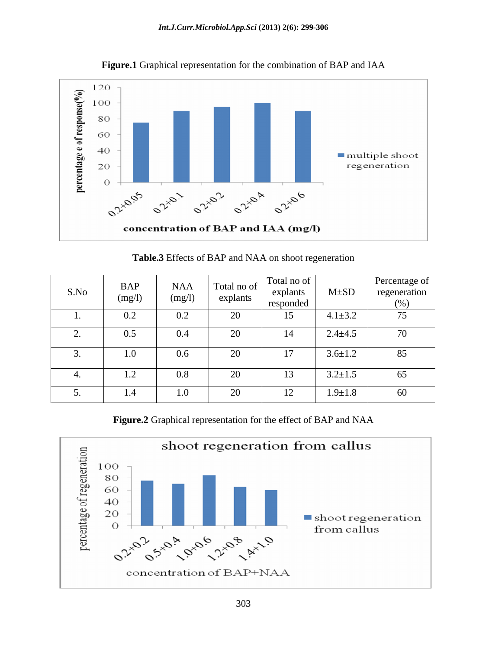

**Figure.1** Graphical representation for the combination of BAP and IAA

| Table.3 Effects of BAP and NAA on shoot regeneration |  |
|------------------------------------------------------|--|
|                                                      |  |

| S.No     | <b>BAP</b><br>(mg/l) | <b>NAA</b><br>(mg/l) | Total no of<br>explants  | Total no of<br>explants<br>responded | $M \pm SD$    | Percentage of<br>regeneration<br>(% ) |
|----------|----------------------|----------------------|--------------------------|--------------------------------------|---------------|---------------------------------------|
|          | 0.2                  | $0.2\,$              | $\overline{\phantom{a}}$ |                                      | $4.1 \pm 3.2$ | 75                                    |
|          | 0.5                  | 0.4                  |                          |                                      | $2.4 \pm 4.5$ | 70                                    |
| <u>.</u> | 1.0                  | 0.6                  | $\Omega$<br>$\sim$       |                                      | $3.6 \pm 1.2$ | 85                                    |
|          | 1.2                  | $0.8\,$              | $\overline{\phantom{a}}$ |                                      | $3.2 \pm 1.5$ | 65                                    |
| $\cup$ . |                      | 1.0                  |                          |                                      | $1.9 \pm 1.8$ | 60                                    |

**Figure.2** Graphical representation for the effect of BAP and NAA

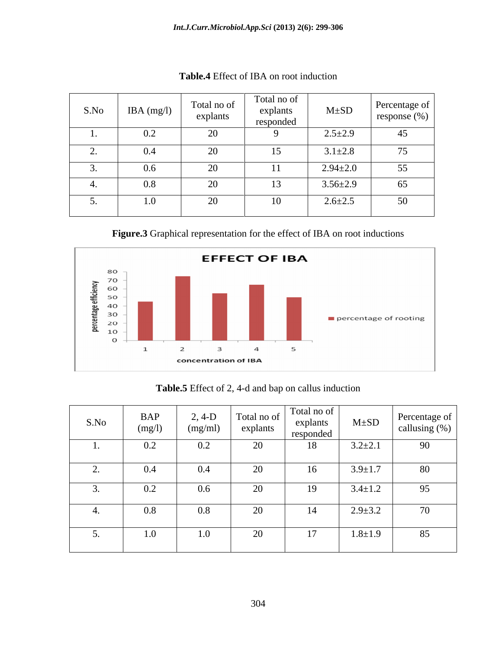| S.No | IBA $(mg/l)$ | Total no of<br>explants  | Total no of<br>explants<br>responded | $M \pm SD$     | Percentage of<br>response $(\%)$           |
|------|--------------|--------------------------|--------------------------------------|----------------|--------------------------------------------|
|      | $0.2\,$      | $\sim$<br>$\Delta$       |                                      | $2.5 \pm 2.9$  | 4J                                         |
|      | 0.4          | $\Omega$<br>∠∪           | 15                                   | $3.1 \pm 2.8$  | $\overline{a}$<br>$\overline{\phantom{a}}$ |
|      | 0.6          | $\sim$                   | $\mathbf{r}$                         | $2.94 \pm 2.0$ | 55                                         |
|      | 0.8          | $\Omega$<br>$\sim$       | $\sim$<br>13                         | $3.56 \pm 2.9$ | 65                                         |
|      | $1.0\,$      | $\overline{\phantom{a}}$ |                                      | $2.6 \pm 2.5$  | 50                                         |

**Table.4** Effect of IBA on root induction

**Figure.3** Graphical representation for the effect of IBA on root inductions



**Table.5** Effect of 2, 4-d and bap on callus induction

| S.No                       | <b>BAP</b><br>(mg/l) | $2, 4-D$<br>(mg/ml) | explants | $\mathcal{A}$ -D   Total no of   Total no of  <br>explants<br>responded |               | $\sim$ mants   M±SD   Percentage of  <br>callusing $(\%)$ |
|----------------------------|----------------------|---------------------|----------|-------------------------------------------------------------------------|---------------|-----------------------------------------------------------|
|                            | $0.2\,$              | 0.2                 | 20       | 18                                                                      | $3.2 \pm 2.1$ | 90                                                        |
| $\overline{\phantom{a}}$ . | $0.4\,$              | 0.4                 | 20       | 16                                                                      | $3.9 \pm 1.7$ | 80                                                        |
| ຸ                          | $0.2\,$              | $0.6\,$             | 20       | 19                                                                      | $3.4 \pm 1.2$ | 95                                                        |
|                            | 0.8                  | $0.8\,$             | 20       | 14                                                                      | $2.9 \pm 3.2$ | 70                                                        |
| $\overline{\phantom{a}}$ . | 1.0                  | 1.0                 | 20       | 17                                                                      | $1.8 \pm 1.9$ | 85                                                        |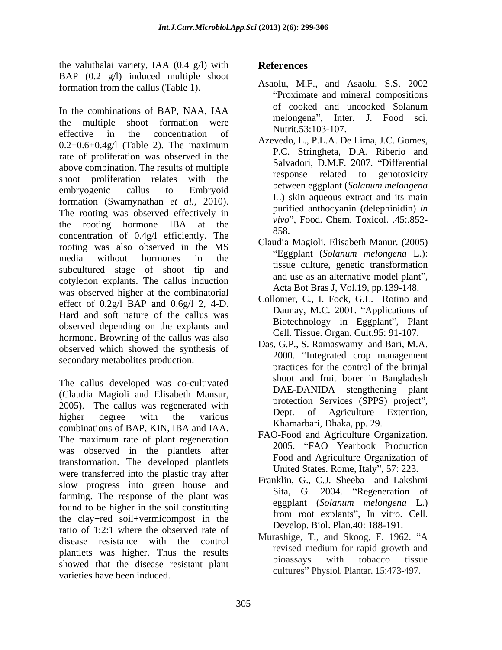the valuthalai variety, IAA  $(0.4 \text{ g/l})$  with **References** BAP (0.2 g/l) induced multiple shoot formation from the callus (Table 1).

the multiple shoot formation were  $\frac{\text{m} \times \text{m}}{\text{N} + \text{m} \times \text{m}}$ ,  $\frac{\text{m}}{\text{N} + \text{m} \times \text{m}}$ effective in the concentration of  $\mathbb{R}^{\text{Null}, J, J, J, J, J}$  $0.2+0.6+0.4g/1$  (Table 2). The maximum<br> $DC$ , Stringhate,  $DA$ , Elizabethand rate of proliferation was observed in the above combination. The results of multiple<br>chose elated to genotoxicity<br>chose related to genotoxicity shoot proliferation relates with the embryogenic callus to Embryoid between eggplant solution metongena formation (Swamynathan *et al.,* 2010). The rooting was observed effectively in the rooting hormone IBA at the  $\frac{V}{250}$  rood. Chem. TOXICOI. 45..652. concentration of  $0.4g/l$  efficiently. The  $858$ . rooting was also observed in the MS<br>
"Eggplant (Solanum melongena L.): media without hormones in the  $\frac{E_{gg}}{2}$  is examined the method of  $\frac{E_{gg}}{2}$ . subcultured stage of shoot tip and cotyledon explants. The callus induction was observed higher at the combinatorial effect of  $0.2g/l$  BAP and  $0.6g/l$  2, 4-D. Hard and soft nature of the callus was observed depending on the explants and hormone. Browning of the callus was also observed which showed the synthesis of secondary metabolites production.

The callus developed was co-cultivated (Claudia Magioli and Elisabeth Mansur, 2005). The callus was regenerated with  $\frac{\text{production}}{\text{Det}}$ higher degree with the various  $P_{\text{E}}$  below the Agriculture Extension, combinations of BAP, KIN, IBA and IAA. The maximum rate of plant regeneration was observed in the plantlets after transformation. The developed plantlets were transferred into the plastic tray after slow progress into green house and farming. The response of the plant was found to be higher in the soil constituting the clay+red soil+vermicompost in the ratio of 1:2:1 where the observed rate of disease resistance with the control murasinge, 1., and SKOOg, F. 1902. A<br>revised medium for rapid growth and plantlets was higher. Thus the results the results bioassays with tobacco tissue showed that the disease resistant plant varieties have been induced.

# **References**

- In the combinations of BAP, NAA, IAA of cooked and uncooked Solanum Asaolu, M.F., and Asaolu, S.S. 2002 Proximate and mineral compositions of cooked and uncooked Solanum melongena", Inter. J. Food sci. Nutrit.53:103-107.
	- Azevedo, L., P.L.A. De Lima, J.C. Gomes, P.C. Stringheta, D.A. Riberio and Salvadori, D.M.F. 2007. "Differential response related to genotoxicity between eggplant (*Solanum melongena* L.) skin aqueous extract and its main purified anthocyanin (delephinidin) *in vivo*". Food. Chem. Toxicol. .45:.852-858.
	- Claudia Magioli. Elisabeth Manur. (2005) Eggplant (*Solanum melongena* L.): tissue culture, genetic transformation and use as an alternative model plant", Acta Bot Bras J, Vol.19, pp.139-148.
	- Collonier, C., I. Fock, G.L. Rotino and Daunay, M.C. 2001. "Applications of Biotechnology in Eggplant", Plant Cell. Tissue. Organ. Cult.95: 91-107.
	- Das, G.P., S. Ramaswamy and Bari, M.A. 2000. "Integrated crop management practices for the control of the brinjal shoot and fruit borer in Bangladesh DAE-DANIDA stengthening plant protection Services (SPPS) project", Agriculture Extention, Khamarbari, Dhaka, pp. 29.
	- FAO-Food and Agriculture Organization. 2005. "FAO Yearbook Production Food and Agriculture Organization of United States. Rome, Italy", 57: 223.
	- Franklin, G., C.J. Sheeba and Lakshmi Sita, G. 2004. "Regeneration of eggplant (*Solanum melongena* L.) from root explants", In vitro. Cell. Develop. Biol. Plan.40: 188-191.
	- Murashige, T., and Skoog, F. 1962. "A revised medium for rapid growth and bioassays with tobacco tissue cultures" Physiol. Plantar. 15:473-497.